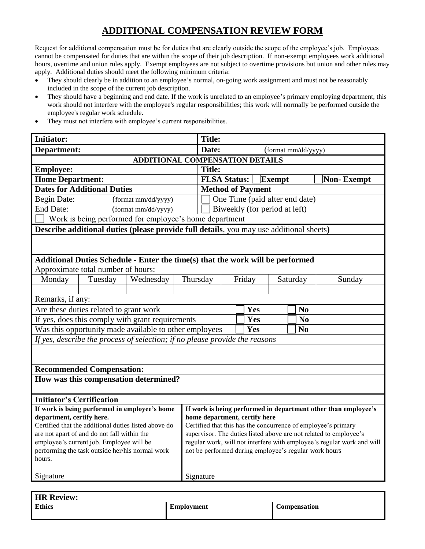## **ADDITIONAL COMPENSATION REVIEW FORM**

Request for additional compensation must be for duties that are clearly outside the scope of the employee's job. Employees cannot be compensated for duties that are within the scope of their job description. If non-exempt employees work additional hours, overtime and union rules apply. Exempt employees are not subject to overtime provisions but union and other rules may apply. Additional duties should meet the following minimum criteria:

- They should clearly be in addition to an employee's normal, on-going work assignment and must not be reasonably included in the scope of the current job description.
- They should have a beginning and end date. If the work is unrelated to an employee's primary employing department, this work should not interfere with the employee's regular responsibilities; this work will normally be performed outside the employee's regular work schedule.
- They must not interfere with employee's current responsibilities.

| <b>Initiator:</b>                                                                       |                                                                                         |           |  | <b>Title:</b>                                                                                                                      |                       |  |                |  |        |
|-----------------------------------------------------------------------------------------|-----------------------------------------------------------------------------------------|-----------|--|------------------------------------------------------------------------------------------------------------------------------------|-----------------------|--|----------------|--|--------|
| Department:                                                                             |                                                                                         |           |  | Date:<br>(format mm/dd/yyyy)                                                                                                       |                       |  |                |  |        |
| <b>ADDITIONAL COMPENSATION DETAILS</b>                                                  |                                                                                         |           |  |                                                                                                                                    |                       |  |                |  |        |
| <b>Employee:</b>                                                                        |                                                                                         |           |  | <b>Title:</b>                                                                                                                      |                       |  |                |  |        |
| <b>Home Department:</b>                                                                 |                                                                                         |           |  | <b>FLSA Status:</b><br><b>Non-Exempt</b><br>Exempt                                                                                 |                       |  |                |  |        |
| <b>Dates for Additional Duties</b>                                                      |                                                                                         |           |  | <b>Method of Payment</b>                                                                                                           |                       |  |                |  |        |
| <b>Begin Date:</b><br>(format mm/dd/yyyy)                                               |                                                                                         |           |  | One Time (paid after end date)                                                                                                     |                       |  |                |  |        |
| <b>End Date:</b><br>(format mm/dd/yyyy)                                                 |                                                                                         |           |  | Biweekly (for period at left)                                                                                                      |                       |  |                |  |        |
| Work is being performed for employee's home department                                  |                                                                                         |           |  |                                                                                                                                    |                       |  |                |  |        |
|                                                                                         | Describe additional duties (please provide full details, you may use additional sheets) |           |  |                                                                                                                                    |                       |  |                |  |        |
|                                                                                         |                                                                                         |           |  |                                                                                                                                    |                       |  |                |  |        |
|                                                                                         |                                                                                         |           |  |                                                                                                                                    |                       |  |                |  |        |
| Additional Duties Schedule - Enter the time(s) that the work will be performed          |                                                                                         |           |  |                                                                                                                                    |                       |  |                |  |        |
|                                                                                         | Approximate total number of hours:                                                      |           |  |                                                                                                                                    |                       |  |                |  |        |
| Monday                                                                                  | Tuesday                                                                                 | Wednesday |  | Thursday                                                                                                                           | Friday                |  | Saturday       |  | Sunday |
|                                                                                         |                                                                                         |           |  |                                                                                                                                    |                       |  |                |  |        |
| Remarks, if any:                                                                        |                                                                                         |           |  |                                                                                                                                    |                       |  |                |  |        |
|                                                                                         | Are these duties related to grant work                                                  |           |  |                                                                                                                                    | Yes<br>N <sub>0</sub> |  |                |  |        |
|                                                                                         | If yes, does this comply with grant requirements                                        |           |  | Yes                                                                                                                                |                       |  | N <sub>0</sub> |  |        |
| Was this opportunity made available to other employees                                  |                                                                                         |           |  |                                                                                                                                    | Yes                   |  | N <sub>0</sub> |  |        |
| If yes, describe the process of selection; if no please provide the reasons             |                                                                                         |           |  |                                                                                                                                    |                       |  |                |  |        |
|                                                                                         |                                                                                         |           |  |                                                                                                                                    |                       |  |                |  |        |
|                                                                                         |                                                                                         |           |  |                                                                                                                                    |                       |  |                |  |        |
|                                                                                         | <b>Recommended Compensation:</b>                                                        |           |  |                                                                                                                                    |                       |  |                |  |        |
|                                                                                         | How was this compensation determined?                                                   |           |  |                                                                                                                                    |                       |  |                |  |        |
|                                                                                         |                                                                                         |           |  |                                                                                                                                    |                       |  |                |  |        |
| <b>Initiator's Certification</b>                                                        |                                                                                         |           |  |                                                                                                                                    |                       |  |                |  |        |
| If work is being performed in employee's home                                           |                                                                                         |           |  | If work is being performed in department other than employee's                                                                     |                       |  |                |  |        |
| department, certify here.                                                               |                                                                                         |           |  | home department, certify here                                                                                                      |                       |  |                |  |        |
| Certified that the additional duties listed above do                                    |                                                                                         |           |  | Certified that this has the concurrence of employee's primary<br>supervisor. The duties listed above are not related to employee's |                       |  |                |  |        |
| are not apart of and do not fall within the<br>employee's current job. Employee will be |                                                                                         |           |  | regular work, will not interfere with employee's regular work and will                                                             |                       |  |                |  |        |
| performing the task outside her/his normal work                                         |                                                                                         |           |  | not be performed during employee's regular work hours                                                                              |                       |  |                |  |        |
| hours.                                                                                  |                                                                                         |           |  |                                                                                                                                    |                       |  |                |  |        |
|                                                                                         |                                                                                         |           |  |                                                                                                                                    |                       |  |                |  |        |
| Signature                                                                               |                                                                                         |           |  | Signature                                                                                                                          |                       |  |                |  |        |

| <b>HR Review:</b> |                   |                     |
|-------------------|-------------------|---------------------|
| <b>Ethics</b>     | <b>Employment</b> | <b>Compensation</b> |
|                   |                   |                     |